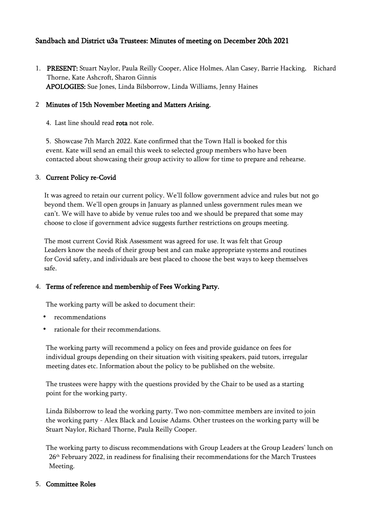# Sandbach and District u3a Trustees: Minutes of meeting on December 20th 2021

1. PRESENT: Stuart Naylor, Paula Reilly Cooper, Alice Holmes, Alan Casey, Barrie Hacking, Richard Thorne, Kate Ashcroft, Sharon Ginnis APOLOGIES: Sue Jones, Linda Bilsborrow, Linda Williams, Jenny Haines

## 2 Minutes of 15th November Meeting and Matters Arising.

4. Last line should read rota not role.

 5. Showcase 7th March 2022. Kate confirmed that the Town Hall is booked for this event. Kate will send an email this week to selected group members who have been contacted about showcasing their group activity to allow for time to prepare and rehearse.

### 3. Current Policy re-Covid

 It was agreed to retain our current policy. We'll follow government advice and rules but not go beyond them. We'll open groups in January as planned unless government rules mean we can't. We will have to abide by venue rules too and we should be prepared that some may choose to close if government advice suggests further restrictions on groups meeting.

 The most current Covid Risk Assessment was agreed for use. It was felt that Group Leaders know the needs of their group best and can make appropriate systems and routines for Covid safety, and individuals are best placed to choose the best ways to keep themselves safe.

#### 4. Terms of reference and membership of Fees Working Party.

The working party will be asked to document their:

- recommendations
- rationale for their recommendations.

 The working party will recommend a policy on fees and provide guidance on fees for individual groups depending on their situation with visiting speakers, paid tutors, irregular meeting dates etc. Information about the policy to be published on the website.

 The trustees were happy with the questions provided by the Chair to be used as a starting point for the working party.

 Linda Bilsborrow to lead the working party. Two non-committee members are invited to join the working party - Alex Black and Louise Adams. Other trustees on the working party will be Stuart Naylor, Richard Thorne, Paula Reilly Cooper.

 The working party to discuss recommendations with Group Leaders at the Group Leaders' lunch on 26th February 2022, in readiness for finalising their recommendations for the March Trustees Meeting.

#### 5. Committee Roles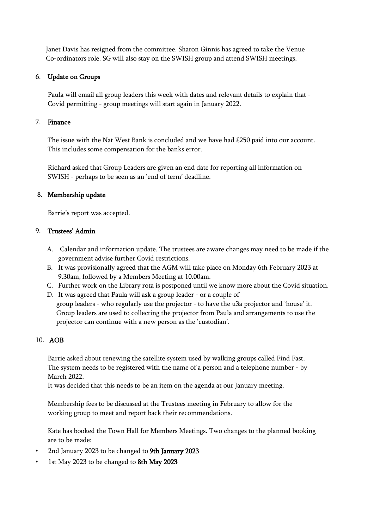Janet Davis has resigned from the committee. Sharon Ginnis has agreed to take the Venue Co-ordinators role. SG will also stay on the SWISH group and attend SWISH meetings.

### 6. Update on Groups

 Paula will email all group leaders this week with dates and relevant details to explain that - Covid permitting - group meetings will start again in January 2022.

### 7. Finance

 The issue with the Nat West Bank is concluded and we have had £250 paid into our account. This includes some compensation for the banks error.

 Richard asked that Group Leaders are given an end date for reporting all information on SWISH - perhaps to be seen as an 'end of term' deadline.

#### 8. Membership update

Barrie's report was accepted.

### 9. Trustees' Admin

- A. Calendar and information update. The trustees are aware changes may need to be made if the government advise further Covid restrictions.
- B. It was provisionally agreed that the AGM will take place on Monday 6th February 2023 at 9.30am, followed by a Members Meeting at 10.00am.
- C. Further work on the Library rota is postponed until we know more about the Covid situation.
- D. It was agreed that Paula will ask a group leader or a couple of group leaders - who regularly use the projector - to have the u3a projector and 'house' it. Group leaders are used to collecting the projector from Paula and arrangements to use the projector can continue with a new person as the 'custodian'.

# 10. AOB

 Barrie asked about renewing the satellite system used by walking groups called Find Fast. The system needs to be registered with the name of a person and a telephone number - by March 2022.

It was decided that this needs to be an item on the agenda at our January meeting.

 Membership fees to be discussed at the Trustees meeting in February to allow for the working group to meet and report back their recommendations.

 Kate has booked the Town Hall for Members Meetings. Two changes to the planned booking are to be made:

- 2nd January 2023 to be changed to 9th January 2023
- 1st May 2023 to be changed to 8th May 2023